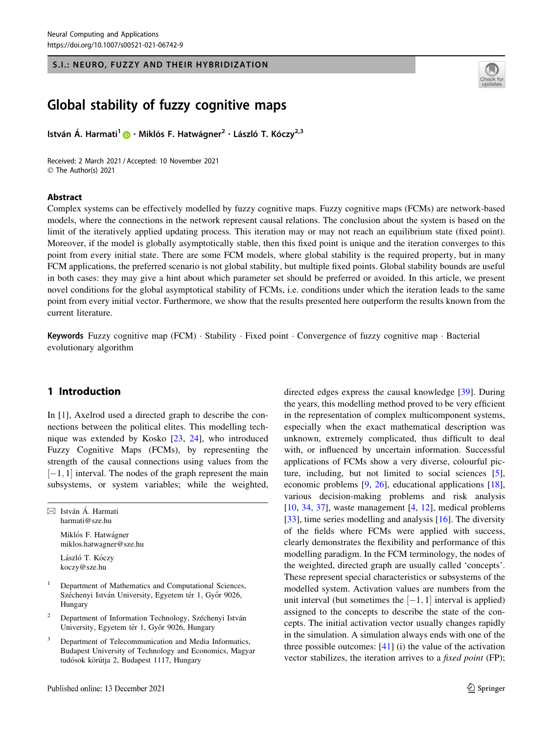#### S.I.: NEURO, FUZZY AND THEIR HYBRIDIZATION



# Global stability of fuzzy cognitive maps

István Á. Harmati<sup>1</sup> • Miklós F. Hatwágner<sup>2</sup> · László T. Kóczy<sup>2,3</sup>

Received: 2 March 2021 / Accepted: 10 November 2021 © The Author(s) 2021

#### Abstract

Complex systems can be effectively modelled by fuzzy cognitive maps. Fuzzy cognitive maps (FCMs) are network-based models, where the connections in the network represent causal relations. The conclusion about the system is based on the limit of the iteratively applied updating process. This iteration may or may not reach an equilibrium state (fixed point). Moreover, if the model is globally asymptotically stable, then this fixed point is unique and the iteration converges to this point from every initial state. There are some FCM models, where global stability is the required property, but in many FCM applications, the preferred scenario is not global stability, but multiple fixed points. Global stability bounds are useful in both cases: they may give a hint about which parameter set should be preferred or avoided. In this article, we present novel conditions for the global asymptotical stability of FCMs, i.e. conditions under which the iteration leads to the same point from every initial vector. Furthermore, we show that the results presented here outperform the results known from the current literature.

Keywords Fuzzy cognitive map (FCM) · Stability · Fixed point · Convergence of fuzzy cognitive map · Bacterial evolutionary algorithm

## 1 Introduction

In [\[1](#page-11-0)], Axelrod used a directed graph to describe the connections between the political elites. This modelling technique was extended by Kosko [\[23](#page-12-0), [24](#page-12-0)], who introduced Fuzzy Cognitive Maps (FCMs), by representing the strength of the causal connections using values from the  $[-1, 1]$  interval. The nodes of the graph represent the main subsystems, or system variables; while the weighted,

 $\boxtimes$  István Á. Harmati harmati@sze.hu Miklós F. Hatwágner miklos.hatwagner@sze.hu

> László T. Kóczy koczy@sze.hu

- Department of Mathematics and Computational Sciences, Széchenyi István University, Egyetem tér 1, Győr 9026, Hungary
- Department of Information Technology, Széchenyi István University, Egyetem tér 1, Győr 9026, Hungary
- Department of Telecommunication and Media Informatics, Budapest University of Technology and Economics, Magyar tudósok körútja 2, Budapest 1117, Hungary

directed edges express the causal knowledge [[39\]](#page-12-0). During the years, this modelling method proved to be very efficient in the representation of complex multicomponent systems, especially when the exact mathematical description was unknown, extremely complicated, thus difficult to deal with, or influenced by uncertain information. Successful applications of FCMs show a very diverse, colourful picture, including, but not limited to social sciences [\[5](#page-11-0)], economic problems [[9,](#page-11-0) [26\]](#page-12-0), educational applications [\[18](#page-11-0)], various decision-making problems and risk analysis [\[10](#page-11-0), [34,](#page-12-0) [37](#page-12-0)], waste management [[4,](#page-11-0) [12](#page-11-0)], medical problems [\[33](#page-12-0)], time series modelling and analysis [[16\]](#page-11-0). The diversity of the fields where FCMs were applied with success, clearly demonstrates the flexibility and performance of this modelling paradigm. In the FCM terminology, the nodes of the weighted, directed graph are usually called 'concepts'. These represent special characteristics or subsystems of the modelled system. Activation values are numbers from the unit interval (but sometimes the  $[-1, 1]$  interval is applied) assigned to the concepts to describe the state of the concepts. The initial activation vector usually changes rapidly in the simulation. A simulation always ends with one of the three possible outcomes:  $[41]$  $[41]$  (i) the value of the activation vector stabilizes, the iteration arrives to a fixed point (FP);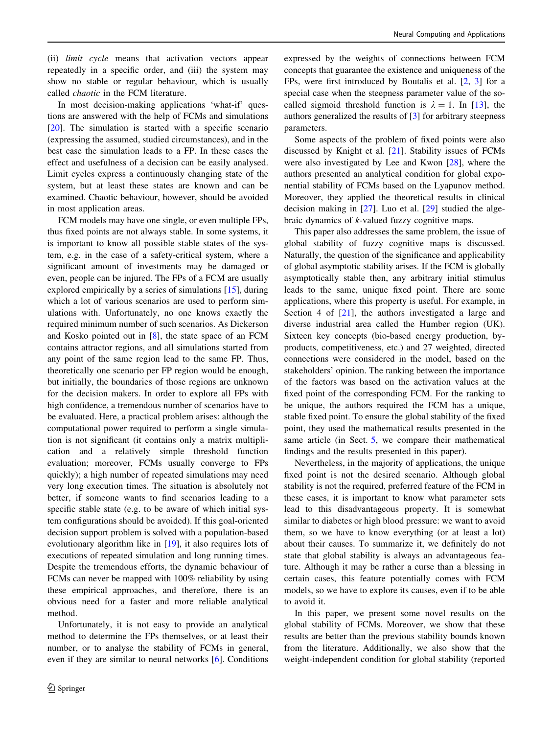(ii) limit cycle means that activation vectors appear repeatedly in a specific order, and (iii) the system may show no stable or regular behaviour, which is usually called chaotic in the FCM literature.

In most decision-making applications 'what-if' questions are answered with the help of FCMs and simulations [\[20](#page-11-0)]. The simulation is started with a specific scenario (expressing the assumed, studied circumstances), and in the best case the simulation leads to a FP. In these cases the effect and usefulness of a decision can be easily analysed. Limit cycles express a continuously changing state of the system, but at least these states are known and can be examined. Chaotic behaviour, however, should be avoided in most application areas.

FCM models may have one single, or even multiple FPs, thus fixed points are not always stable. In some systems, it is important to know all possible stable states of the system, e.g. in the case of a safety-critical system, where a significant amount of investments may be damaged or even, people can be injured. The FPs of a FCM are usually explored empirically by a series of simulations [[15\]](#page-11-0), during which a lot of various scenarios are used to perform simulations with. Unfortunately, no one knows exactly the required minimum number of such scenarios. As Dickerson and Kosko pointed out in [\[8](#page-11-0)], the state space of an FCM contains attractor regions, and all simulations started from any point of the same region lead to the same FP. Thus, theoretically one scenario per FP region would be enough, but initially, the boundaries of those regions are unknown for the decision makers. In order to explore all FPs with high confidence, a tremendous number of scenarios have to be evaluated. Here, a practical problem arises: although the computational power required to perform a single simulation is not significant (it contains only a matrix multiplication and a relatively simple threshold function evaluation; moreover, FCMs usually converge to FPs quickly); a high number of repeated simulations may need very long execution times. The situation is absolutely not better, if someone wants to find scenarios leading to a specific stable state (e.g. to be aware of which initial system configurations should be avoided). If this goal-oriented decision support problem is solved with a population-based evolutionary algorithm like in [\[19](#page-11-0)], it also requires lots of executions of repeated simulation and long running times. Despite the tremendous efforts, the dynamic behaviour of FCMs can never be mapped with 100% reliability by using these empirical approaches, and therefore, there is an obvious need for a faster and more reliable analytical method.

Unfortunately, it is not easy to provide an analytical method to determine the FPs themselves, or at least their number, or to analyse the stability of FCMs in general, even if they are similar to neural networks [\[6](#page-11-0)]. Conditions expressed by the weights of connections between FCM concepts that guarantee the existence and uniqueness of the FPs, were first introduced by Boutalis et al. [\[2](#page-11-0), [3](#page-11-0)] for a special case when the steepness parameter value of the socalled sigmoid threshold function is  $\lambda = 1$ . In [\[13](#page-11-0)], the authors generalized the results of [\[3](#page-11-0)] for arbitrary steepness parameters.

Some aspects of the problem of fixed points were also discussed by Knight et al. [[21\]](#page-11-0). Stability issues of FCMs were also investigated by Lee and Kwon [\[28](#page-12-0)], where the authors presented an analytical condition for global exponential stability of FCMs based on the Lyapunov method. Moreover, they applied the theoretical results in clinical decision making in [[27\]](#page-12-0). Luo et al. [[29\]](#page-12-0) studied the algebraic dynamics of k-valued fuzzy cognitive maps.

This paper also addresses the same problem, the issue of global stability of fuzzy cognitive maps is discussed. Naturally, the question of the significance and applicability of global asymptotic stability arises. If the FCM is globally asymptotically stable then, any arbitrary initial stimulus leads to the same, unique fixed point. There are some applications, where this property is useful. For example, in Section 4 of [\[21](#page-11-0)], the authors investigated a large and diverse industrial area called the Humber region (UK). Sixteen key concepts (bio-based energy production, byproducts, competitiveness, etc.) and 27 weighted, directed connections were considered in the model, based on the stakeholders' opinion. The ranking between the importance of the factors was based on the activation values at the fixed point of the corresponding FCM. For the ranking to be unique, the authors required the FCM has a unique, stable fixed point. To ensure the global stability of the fixed point, they used the mathematical results presented in the same article (in Sect. [5,](#page-5-0) we compare their mathematical findings and the results presented in this paper).

Nevertheless, in the majority of applications, the unique fixed point is not the desired scenario. Although global stability is not the required, preferred feature of the FCM in these cases, it is important to know what parameter sets lead to this disadvantageous property. It is somewhat similar to diabetes or high blood pressure: we want to avoid them, so we have to know everything (or at least a lot) about their causes. To summarize it, we definitely do not state that global stability is always an advantageous feature. Although it may be rather a curse than a blessing in certain cases, this feature potentially comes with FCM models, so we have to explore its causes, even if to be able to avoid it.

In this paper, we present some novel results on the global stability of FCMs. Moreover, we show that these results are better than the previous stability bounds known from the literature. Additionally, we also show that the weight-independent condition for global stability (reported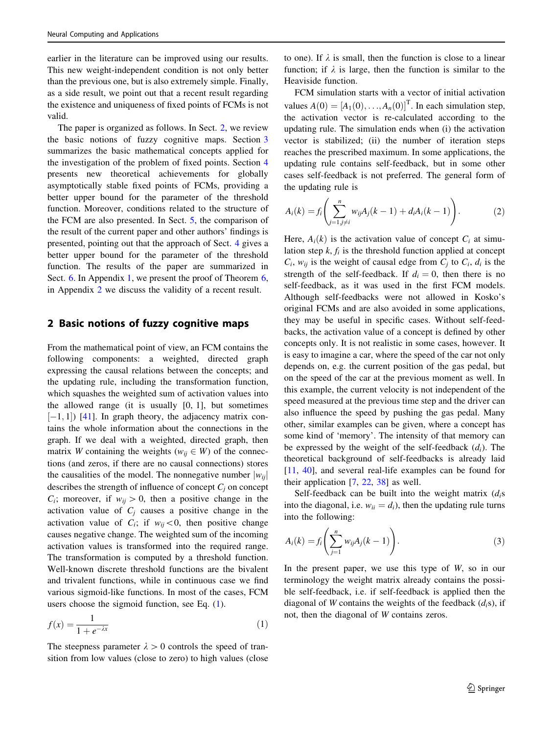earlier in the literature can be improved using our results. This new weight-independent condition is not only better than the previous one, but is also extremely simple. Finally, as a side result, we point out that a recent result regarding the existence and uniqueness of fixed points of FCMs is not valid.

The paper is organized as follows. In Sect. 2, we review the basic notions of fuzzy cognitive maps. Section [3](#page-3-0) summarizes the basic mathematical concepts applied for the investigation of the problem of fixed points. Section [4](#page-3-0) presents new theoretical achievements for globally asymptotically stable fixed points of FCMs, providing a better upper bound for the parameter of the threshold function. Moreover, conditions related to the structure of the FCM are also presented. In Sect. [5,](#page-5-0) the comparison of the result of the current paper and other authors' findings is presented, pointing out that the approach of Sect. [4](#page-3-0) gives a better upper bound for the parameter of the threshold function. The results of the paper are summarized in Sect. [6](#page-7-0). In Appendix [1,](#page-8-0) we present the proof of Theorem [6,](#page-6-0) in Appendix [2](#page-9-0) we discuss the validity of a recent result.

## 2 Basic notions of fuzzy cognitive maps

From the mathematical point of view, an FCM contains the following components: a weighted, directed graph expressing the causal relations between the concepts; and the updating rule, including the transformation function, which squashes the weighted sum of activation values into the allowed range (it is usually  $[0, 1]$ , but sometimes  $[-1, 1]$ ) [\[41](#page-12-0)]. In graph theory, the adjacency matrix contains the whole information about the connections in the graph. If we deal with a weighted, directed graph, then matrix W containing the weights ( $w_{ii} \in W$ ) of the connections (and zeros, if there are no causal connections) stores the causalities of the model. The nonnegative number  $|w_{ii}|$ describes the strength of influence of concept  $C_i$  on concept  $C_i$ ; moreover, if  $w_{ij} > 0$ , then a positive change in the activation value of  $C_i$  causes a positive change in the activation value of  $C_i$ ; if  $w_{ii} < 0$ , then positive change causes negative change. The weighted sum of the incoming activation values is transformed into the required range. The transformation is computed by a threshold function. Well-known discrete threshold functions are the bivalent and trivalent functions, while in continuous case we find various sigmoid-like functions. In most of the cases, FCM users choose the sigmoid function, see Eq. (1).

$$
f(x) = \frac{1}{1 + e^{-\lambda x}}\tag{1}
$$

The steepness parameter  $\lambda > 0$  controls the speed of transition from low values (close to zero) to high values (close to one). If  $\lambda$  is small, then the function is close to a linear function; if  $\lambda$  is large, then the function is similar to the Heaviside function.

FCM simulation starts with a vector of initial activation values  $A(0) = [A_1(0),..., A_n(0)]^T$ . In each simulation step, the activation vector is re-calculated according to the updating rule. The simulation ends when (i) the activation vector is stabilized; (ii) the number of iteration steps reaches the prescribed maximum. In some applications, the updating rule contains self-feedback, but in some other cases self-feedback is not preferred. The general form of the updating rule is

$$
A_i(k) = f_i \left( \sum_{j=1, j \neq i}^{n} w_{ij} A_j(k-1) + d_i A_i(k-1) \right).
$$
 (2)

Here,  $A_i(k)$  is the activation value of concept  $C_i$  at simulation step  $k$ ,  $f_i$  is the threshold function applied at concept  $C_i$ ,  $w_{ij}$  is the weight of causal edge from  $C_i$  to  $C_i$ ,  $d_i$  is the strength of the self-feedback. If  $d_i = 0$ , then there is no self-feedback, as it was used in the first FCM models. Although self-feedbacks were not allowed in Kosko's original FCMs and are also avoided in some applications, they may be useful in specific cases. Without self-feedbacks, the activation value of a concept is defined by other concepts only. It is not realistic in some cases, however. It is easy to imagine a car, where the speed of the car not only depends on, e.g. the current position of the gas pedal, but on the speed of the car at the previous moment as well. In this example, the current velocity is not independent of the speed measured at the previous time step and the driver can also influence the speed by pushing the gas pedal. Many other, similar examples can be given, where a concept has some kind of 'memory'. The intensity of that memory can be expressed by the weight of the self-feedback  $(d_i)$ . The theoretical background of self-feedbacks is already laid [\[11](#page-11-0), [40\]](#page-12-0), and several real-life examples can be found for their application [\[7](#page-11-0), [22,](#page-12-0) [38\]](#page-12-0) as well.

Self-feedback can be built into the weight matrix  $(d_i s)$ into the diagonal, i.e.  $w_{ii} = d_i$ ), then the updating rule turns into the following:

$$
A_i(k) = f_i \left( \sum_{j=1}^n w_{ij} A_j(k-1) \right).
$$
 (3)

In the present paper, we use this type of  $W$ , so in our terminology the weight matrix already contains the possible self-feedback, i.e. if self-feedback is applied then the diagonal of W contains the weights of the feedback  $(d_i s)$ , if not, then the diagonal of W contains zeros.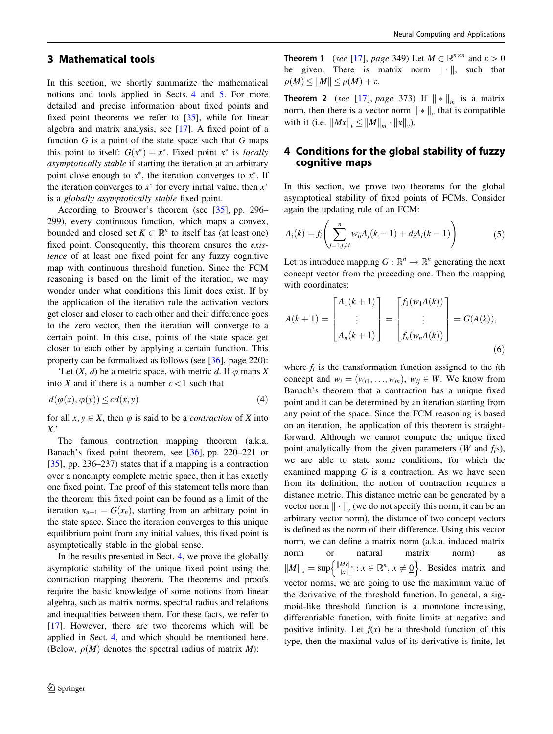## <span id="page-3-0"></span>3 Mathematical tools

In this section, we shortly summarize the mathematical notions and tools applied in Sects. 4 and [5](#page-5-0). For more detailed and precise information about fixed points and fixed point theorems we refer to [\[35](#page-12-0)], while for linear algebra and matrix analysis, see [\[17](#page-11-0)]. A fixed point of a function  $G$  is a point of the state space such that  $G$  maps this point to itself:  $G(x^*) = x^*$ . Fixed point x<sup>\*</sup> is *locally* asymptotically stable if starting the iteration at an arbitrary point close enough to  $x^*$ , the iteration converges to  $x^*$ . If the iteration converges to  $x^*$  for every initial value, then  $x^*$ is a globally asymptotically stable fixed point.

According to Brouwer's theorem (see [\[35](#page-12-0)], pp. 296– 299), every continuous function, which maps a convex, bounded and closed set  $K \subset \mathbb{R}^n$  to itself has (at least one) fixed point. Consequently, this theorem ensures the existence of at least one fixed point for any fuzzy cognitive map with continuous threshold function. Since the FCM reasoning is based on the limit of the iteration, we may wonder under what conditions this limit does exist. If by the application of the iteration rule the activation vectors get closer and closer to each other and their difference goes to the zero vector, then the iteration will converge to a certain point. In this case, points of the state space get closer to each other by applying a certain function. This property can be formalized as follows (see [\[36](#page-12-0)], page 220):

'Let  $(X, d)$  be a metric space, with metric d. If  $\varphi$  maps X into X and if there is a number  $c\lt 1$  such that

$$
d(\varphi(x), \varphi(y)) \le c d(x, y) \tag{4}
$$

for all  $x, y \in X$ , then  $\varphi$  is said to be a *contraction* of X into  $X$ .

The famous contraction mapping theorem (a.k.a. Banach's fixed point theorem, see [[36\]](#page-12-0), pp. 220–221 or [\[35](#page-12-0)], pp. 236–237) states that if a mapping is a contraction over a nonempty complete metric space, then it has exactly one fixed point. The proof of this statement tells more than the theorem: this fixed point can be found as a limit of the iteration  $x_{n+1} = G(x_n)$ , starting from an arbitrary point in the state space. Since the iteration converges to this unique equilibrium point from any initial values, this fixed point is asymptotically stable in the global sense.

In the results presented in Sect. 4, we prove the globally asymptotic stability of the unique fixed point using the contraction mapping theorem. The theorems and proofs require the basic knowledge of some notions from linear algebra, such as matrix norms, spectral radius and relations and inequalities between them. For these facts, we refer to [\[17](#page-11-0)]. However, there are two theorems which will be applied in Sect. 4, and which should be mentioned here. (Below,  $\rho(M)$  denotes the spectral radius of matrix M):

**Theorem 1** (see [[17\]](#page-11-0), page 349) Let  $M \in \mathbb{R}^{n \times n}$  and  $\varepsilon > 0$ be given. There is matrix norm  $\|\cdot\|$ , such that  $\rho(M) \leq ||M|| \leq \rho(M) + \varepsilon.$ 

**Theorem 2** (see [\[17](#page-11-0)], page 373) If  $\|\cdot\|_{m}$  is a matrix norm, then there is a vector norm  $\Vert * \Vert$ , that is compatible with it (i.e.  $||Mx||_v \le ||M||_m \cdot ||x||_v$ ).

# 4 Conditions for the global stability of fuzzy cognitive maps

In this section, we prove two theorems for the global asymptotical stability of fixed points of FCMs. Consider again the updating rule of an FCM:

$$
A_i(k) = f_i \left( \sum_{j=1, j \neq i}^{n} w_{ij} A_j(k-1) + d_i A_i(k-1) \right)
$$
 (5)

Let us introduce mapping  $G : \mathbb{R}^n \to \mathbb{R}^n$  generating the next concept vector from the preceding one. Then the mapping with coordinates:

$$
A(k+1) = \begin{bmatrix} A_1(k+1) \\ \vdots \\ A_n(k+1) \end{bmatrix} = \begin{bmatrix} f_1(w_1A(k)) \\ \vdots \\ f_n(w_nA(k)) \end{bmatrix} = G(A(k)),
$$
\n(6)

where  $f_i$  is the transformation function assigned to the *i*th concept and  $w_i = (w_{i1}, \ldots, w_{in}), w_{ij} \in W$ . We know from Banach's theorem that a contraction has a unique fixed point and it can be determined by an iteration starting from any point of the space. Since the FCM reasoning is based on an iteration, the application of this theorem is straightforward. Although we cannot compute the unique fixed point analytically from the given parameters (*W* and  $f_i$ s), we are able to state some conditions, for which the examined mapping  $G$  is a contraction. As we have seen from its definition, the notion of contraction requires a distance metric. This distance metric can be generated by a vector norm  $\|\cdot\|_{v}$  (we do not specify this norm, it can be an arbitrary vector norm), the distance of two concept vectors is defined as the norm of their difference. Using this vector norm, we can define a matrix norm (a.k.a. induced matrix norm or natural matrix norm) as  $||M||_* = \sup \left\{ \frac{||Mx||_v}{||x||_v} : x \in \mathbb{R}^n, x \neq \underline{0} \right\}.$  Besides matrix and vector norms, we are going to use the maximum value of the derivative of the threshold function. In general, a sigmoid-like threshold function is a monotone increasing, differentiable function, with finite limits at negative and positive infinity. Let  $f(x)$  be a threshold function of this type, then the maximal value of its derivative is finite, let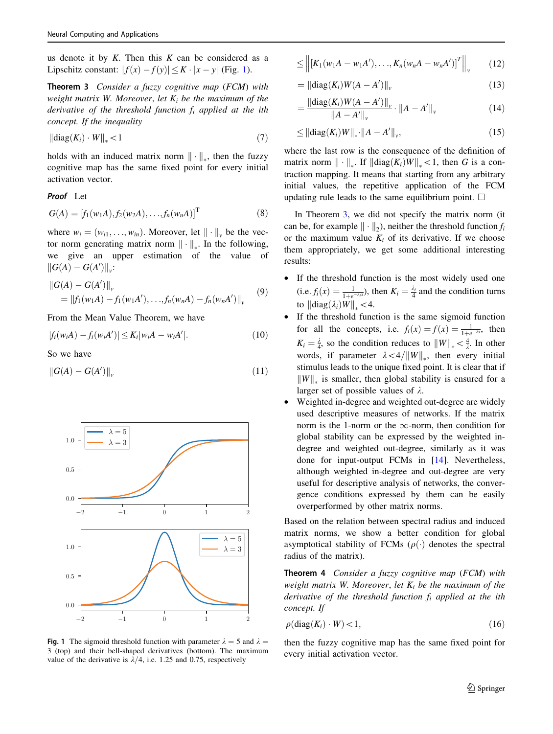<span id="page-4-0"></span>us denote it by  $K$ . Then this  $K$  can be considered as a Lipschitz constant:  $|f(x) - f(y)| \le K \cdot |x - y|$  (Fig. 1).

Theorem 3 Consider a fuzzy cognitive map (FCM) with weight matrix W. Moreover, let  $K_i$  be the maximum of the derivative of the threshold function  $f_i$  applied at the ith concept. If the inequality

$$
\|\operatorname{diag}(K_i) \cdot W\|_{*} < 1\tag{7}
$$

holds with an induced matrix norm  $\|\cdot\|_*$ , then the fuzzy cognitive map has the same fixed point for every initial activation vector.

Proof Let

$$
G(A) = [f_1(w_1A), f_2(w_2A), \dots, f_n(w_nA)]^T
$$
 (8)

where  $w_i = (w_{i1}, \ldots, w_{in})$ . Moreover, let  $\|\cdot\|_v$  be the vector norm generating matrix norm  $\|\cdot\|_*$ . In the following, we give an upper estimation of the value of  $||G(A) - G(A')||_{v}$ :

$$
||G(A) - G(A')||_v
$$
  
=  $||f_1(w_1A) - f_1(w_1A'), \ldots, f_n(w_nA) - f_n(w_nA')||_v$  (9)

From the Mean Value Theorem, we have

$$
|f_i(w_iA) - f_i(w_iA')| \le K_i|w_iA - w_iA'|.
$$
 (10)

So we have

$$
||G(A) - G(A')||_{\nu} \tag{11}
$$



Fig. 1 The sigmoid threshold function with parameter  $\lambda = 5$  and  $\lambda =$ 3 (top) and their bell-shaped derivatives (bottom). The maximum value of the derivative is  $\lambda/4$ , i.e. 1.25 and 0.75, respectively

$$
\leq \left\| [K_1(w_1A - w_1A'), \ldots, K_n(w_nA - w_nA')]^T \right\|_v \qquad (12)
$$

$$
= \left\| \text{diag}(K_i) W(A - A') \right\|_v \tag{13}
$$

$$
= \frac{\left\| diag(K_i)W(A - A') \right\|_{\nu}}{\left\| A - A' \right\|_{\nu}} \cdot \left\| A - A' \right\|_{\nu}
$$
 (14)

$$
\leq \left\| \operatorname{diag}(K_i) W \right\|_* \cdot \left\| A - A' \right\|_v, \tag{15}
$$

where the last row is the consequence of the definition of matrix norm  $\|\cdot\|_*$ . If  $\|\text{diag}(K_i)W\|_* < 1$ , then G is a contraction mapping. It means that starting from any arbitrary initial values, the repetitive application of the FCM updating rule leads to the same equilibrium point.  $\Box$ 

In Theorem 3, we did not specify the matrix norm (it can be, for example  $\|\cdot\|_2$ ), neither the threshold function  $f_i$ or the maximum value  $K_i$  of its derivative. If we choose them appropriately, we get some additional interesting results:

- If the threshold function is the most widely used one (i.e.  $f_i(x) = \frac{1}{1 + e^{-\lambda_i x}}$ ), then  $K_i = \frac{\lambda_i}{4}$  and the condition turns to  $\|\text{diag}(\lambda_i)W\|_{\alpha} < 4$ .
- If the threshold function is the same sigmoid function for all the concepts, i.e.  $f_i(x) = f(x) = \frac{1}{1 + e^{-\lambda x}}$ , then  $K_i = \frac{\lambda}{4}$ , so the condition reduces to  $\|W\|_* < \frac{4}{\lambda}$ . In other words, if parameter  $\lambda < 4/||W||_{\ast}$ , then every initial stimulus leads to the unique fixed point. It is clear that if  $\|W\|_{*}$  is smaller, then global stability is ensured for a larger set of possible values of  $\lambda$ .
- Weighted in-degree and weighted out-degree are widely used descriptive measures of networks. If the matrix norm is the 1-norm or the  $\infty$ -norm, then condition for global stability can be expressed by the weighted indegree and weighted out-degree, similarly as it was done for input-output FCMs in [[14\]](#page-11-0). Nevertheless, although weighted in-degree and out-degree are very useful for descriptive analysis of networks, the convergence conditions expressed by them can be easily overperformed by other matrix norms.

Based on the relation between spectral radius and induced matrix norms, we show a better condition for global asymptotical stability of FCMs ( $\rho(\cdot)$ ) denotes the spectral radius of the matrix).

Theorem 4 Consider a fuzzy cognitive map (FCM) with weight matrix W. Moreover, let  $K_i$  be the maximum of the derivative of the threshold function  $f_i$  applied at the ith concept. If

$$
\rho(\text{diag}(K_i) \cdot W) < 1,\tag{16}
$$

then the fuzzy cognitive map has the same fixed point for every initial activation vector.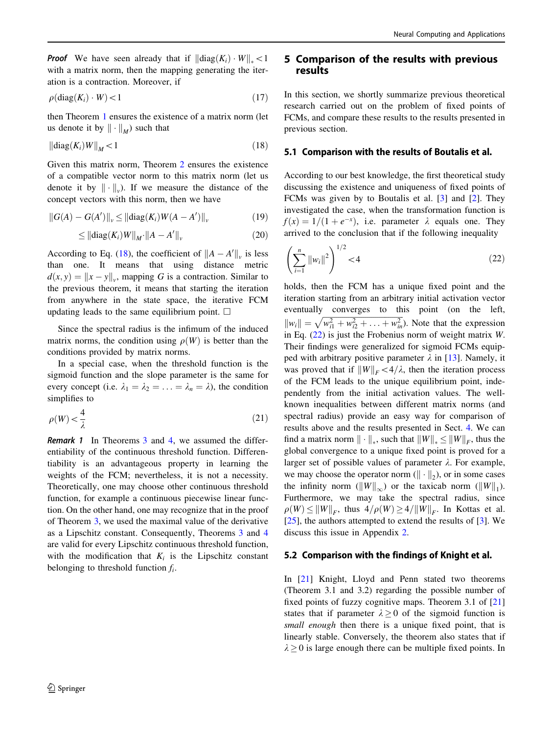<span id="page-5-0"></span>**Proof** We have seen already that if  $\|\text{diag}(K_i) \cdot W\|_{*} < 1$ with a matrix norm, then the mapping generating the iteration is a contraction. Moreover, if

$$
\rho(\text{diag}(K_i) \cdot W) < 1\tag{17}
$$

then Theorem [1](#page-3-0) ensures the existence of a matrix norm (let us denote it by  $\|\cdot\|_M$ ) such that

$$
\|\text{diag}(K_i)W\|_M < 1\tag{18}
$$

Given this matrix norm, Theorem [2](#page-3-0) ensures the existence of a compatible vector norm to this matrix norm (let us denote it by  $\|\cdot\|_{v}$ ). If we measure the distance of the concept vectors with this norm, then we have

$$
||G(A) - G(A')||_{\nu} \le ||diag(K_i)W(A - A')||_{\nu}
$$
 (19)

$$
\leq \left\| \text{diag}(K_i) W \right\|_M \cdot \left\| A - A' \right\|_v \tag{20}
$$

According to Eq. (18), the coefficient of  $||A - A||_v$  is less than one. It means that using distance metric  $d(x, y) = ||x - y||_v$ , mapping G is a contraction. Similar to the previous theorem, it means that starting the iteration from anywhere in the state space, the iterative FCM updating leads to the same equilibrium point.  $\Box$ 

Since the spectral radius is the infimum of the induced matrix norms, the condition using  $\rho(W)$  is better than the conditions provided by matrix norms.

In a special case, when the threshold function is the sigmoid function and the slope parameter is the same for every concept (i.e.  $\lambda_1 = \lambda_2 = \ldots = \lambda_n = \lambda$ ), the condition simplifies to

$$
\rho(W) < \frac{4}{\lambda} \tag{21}
$$

**Remark 1** In Theorems [3](#page-4-0) and [4](#page-4-0), we assumed the differentiability of the continuous threshold function. Differentiability is an advantageous property in learning the weights of the FCM; nevertheless, it is not a necessity. Theoretically, one may choose other continuous threshold function, for example a continuous piecewise linear function. On the other hand, one may recognize that in the proof of Theorem [3](#page-4-0), we used the maximal value of the derivative as a Lipschitz constant. Consequently, Theorems [3](#page-4-0) and [4](#page-4-0) are valid for every Lipschitz continuous threshold function, with the modification that  $K_i$  is the Lipschitz constant belonging to threshold function  $f_i$ .

## 5 Comparison of the results with previous results

In this section, we shortly summarize previous theoretical research carried out on the problem of fixed points of FCMs, and compare these results to the results presented in previous section.

#### 5.1 Comparison with the results of Boutalis et al.

According to our best knowledge, the first theoretical study discussing the existence and uniqueness of fixed points of FCMs was given by to Boutalis et al. [\[3](#page-11-0)] and [[2\]](#page-11-0). They investigated the case, when the transformation function is  $f(x) = 1/(1 + e^{-x})$ , i.e. parameter  $\lambda$  equals one. They arrived to the conclusion that if the following inequality

$$
\left(\sum_{i=1}^{n} \|w_i\|^2\right)^{1/2} < 4\tag{22}
$$

holds, then the FCM has a unique fixed point and the iteration starting from an arbitrary initial activation vector eventually converges to this point (on the left,  $\|w_i\| = \sqrt{w_{i1}^2 + w_{i2}^2 + \ldots + w_{in}^2}$ . Note that the expression in Eq. (22) is just the Frobenius norm of weight matrix W. Their findings were generalized for sigmoid FCMs equipped with arbitrary positive parameter  $\lambda$  in [\[13](#page-11-0)]. Namely, it was proved that if  $\|W\|_F\lt^4/\lambda$ , then the iteration process of the FCM leads to the unique equilibrium point, independently from the initial activation values. The wellknown inequalities between different matrix norms (and spectral radius) provide an easy way for comparison of results above and the results presented in Sect. [4](#page-3-0). We can find a matrix norm  $\|\cdot\|_*$ , such that  $\|W\|_* \le \|W\|_F$ , thus the global convergence to a unique fixed point is proved for a larger set of possible values of parameter  $\lambda$ . For example, we may choose the operator norm  $(\|\cdot\|_2)$ , or in some cases the infinity norm ( $\|W\|_{\infty}$ ) or the taxicab norm ( $\|W\|_{1}$ ). Furthermore, we may take the spectral radius, since  $\rho(W) \leq ||W||_F$ , thus  $4/\rho(W) \geq 4/||W||_F$ . In Kottas et al.  $[25]$  $[25]$ , the authors attempted to extend the results of  $[3]$  $[3]$ . We discuss this issue in Appendix [2](#page-9-0).

#### 5.2 Comparison with the findings of Knight et al.

In [[21\]](#page-11-0) Knight, Lloyd and Penn stated two theorems (Theorem 3.1 and 3.2) regarding the possible number of fixed points of fuzzy cognitive maps. Theorem 3.1 of [[21\]](#page-11-0) states that if parameter  $\lambda > 0$  of the sigmoid function is small enough then there is a unique fixed point, that is linearly stable. Conversely, the theorem also states that if  $\lambda \geq 0$  is large enough there can be multiple fixed points. In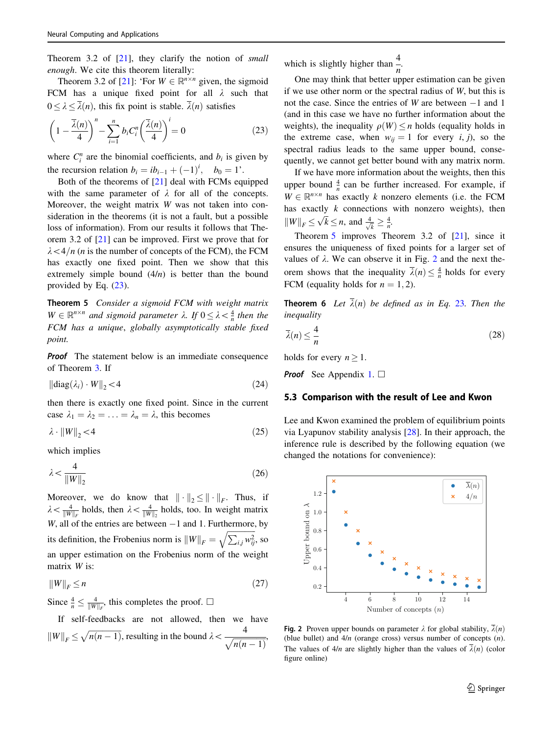<span id="page-6-0"></span>Theorem 3.2 of  $[21]$  $[21]$ , they clarify the notion of small enough. We cite this theorem literally:

Theorem 3.2 of [\[21](#page-11-0)]: 'For  $W \in \mathbb{R}^{n \times n}$  given, the sigmoid FCM has a unique fixed point for all  $\lambda$  such that  $0 \leq \lambda \leq \overline{\lambda}(n)$ , this fix point is stable.  $\overline{\lambda}(n)$  satisfies

$$
\left(1 - \frac{\overline{\lambda}(n)}{4}\right)^n - \sum_{i=1}^n b_i C_i^n \left(\frac{\overline{\lambda}(n)}{4}\right)^i = 0 \tag{23}
$$

where  $C_i^n$  are the binomial coefficients, and  $b_i$  is given by the recursion relation  $b_i = ib_{i-1} + (-1)^i$ ,  $b_0 = 1$ '.

Both of the theorems of [[21\]](#page-11-0) deal with FCMs equipped with the same parameter of  $\lambda$  for all of the concepts. Moreover, the weight matrix W was not taken into consideration in the theorems (it is not a fault, but a possible loss of information). From our results it follows that Theorem 3.2 of [[21\]](#page-11-0) can be improved. First we prove that for  $\lambda < 4/n$  (*n* is the number of concepts of the FCM), the FCM has exactly one fixed point. Then we show that this extremely simple bound  $(4/n)$  is better than the bound provided by Eq. (23).

Theorem 5 Consider a sigmoid FCM with weight matrix  $W \in \mathbb{R}^{n \times n}$  and sigmoid parameter  $\lambda$ . If  $0 \leq \lambda < \frac{4}{n}$  then the FCM has a unique, globally asymptotically stable fixed point.

**Proof** The statement below is an immediate consequence of Theorem [3](#page-4-0). If

$$
\|\text{diag}(\lambda_i) \cdot W\|_2 < 4\tag{24}
$$

then there is exactly one fixed point. Since in the current case  $\lambda_1 = \lambda_2 = \ldots = \lambda_n = \lambda$ , this becomes

$$
\lambda \cdot \|W\|_2 < 4\tag{25}
$$

which implies

$$
\lambda < \frac{4}{\|W\|_2} \tag{26}
$$

Moreover, we do know that  $\|\cdot\|_2 \le \|\cdot\|_F$ . Thus, if  $\lambda < \frac{4}{\|W\|_F}$  holds, then  $\lambda < \frac{4}{\|W\|_2}$  holds, too. In weight matrix W, all of the entries are between  $-1$  and 1. Furthermore, by its definition, the Frobenius norm is  $||W||_F =$  $\sqrt{\sum_{i,j} w_{ij}^2}$ , so an upper estimation on the Frobenius norm of the weight matrix W is:

$$
||W||_F \le n \tag{27}
$$

Since  $\frac{4}{n} \leq \frac{4}{\|W\|_F}$ , this completes the proof.  $\Box$ 

If self-feedbacks are not allowed, then we have  $\|W\|_F \le \sqrt{n(n-1)}$ , resulting in the bound  $\lambda < \frac{4}{\sqrt{n(n-1)}}$  which is slightly higher than 4  $\frac{1}{n}$ 

One may think that better upper estimation can be given if we use other norm or the spectral radius of W, but this is not the case. Since the entries of W are between  $-1$  and 1 (and in this case we have no further information about the weights), the inequality  $\rho(W) \leq n$  holds (equality holds in the extreme case, when  $w_{ii} = 1$  for every i, j), so the spectral radius leads to the same upper bound, consequently, we cannot get better bound with any matrix norm.

If we have more information about the weights, then this upper bound  $\frac{4}{n}$  can be further increased. For example, if  $W \in \mathbb{R}^{n \times n}$  has exactly k nonzero elements (i.e. the FCM has exactly  $k$  connections with nonzero weights), then  $\|W\|_F \leq \sqrt{k} \leq n$ , and  $\frac{4}{\sqrt{k}} \geq \frac{4}{n}$ .

Theorem  $5$  improves Theorem 3.2 of  $[21]$  $[21]$ , since it ensures the uniqueness of fixed points for a larger set of values of  $\lambda$ . We can observe it in Fig. 2 and the next theorem shows that the inequality  $\overline{\lambda}(n) \leq \frac{4}{n}$  holds for every FCM (equality holds for  $n = 1, 2$ ).

**Theorem 6** Let  $\overline{\lambda}(n)$  be defined as in Eq. 23. Then the inequality

$$
\overline{\lambda}(n) \le \frac{4}{n} \tag{28}
$$

holds for every  $n \geq 1$ .

**Proof** See Appendix [1.](#page-8-0)  $\Box$ 

#### 5.3 Comparison with the result of Lee and Kwon

Lee and Kwon examined the problem of equilibrium points via Lyapunov stability analysis [[28\]](#page-12-0). In their approach, the inference rule is described by the following equation (we changed the notations for convenience):



**Fig. 2** Proven upper bounds on parameter  $\lambda$  for global stability,  $\overline{\lambda}(n)$ (blue bullet) and  $4/n$  (orange cross) versus number of concepts  $(n)$ . The values of  $4/n$  are slightly higher than the values of  $\overline{\lambda}(n)$  (color figure online)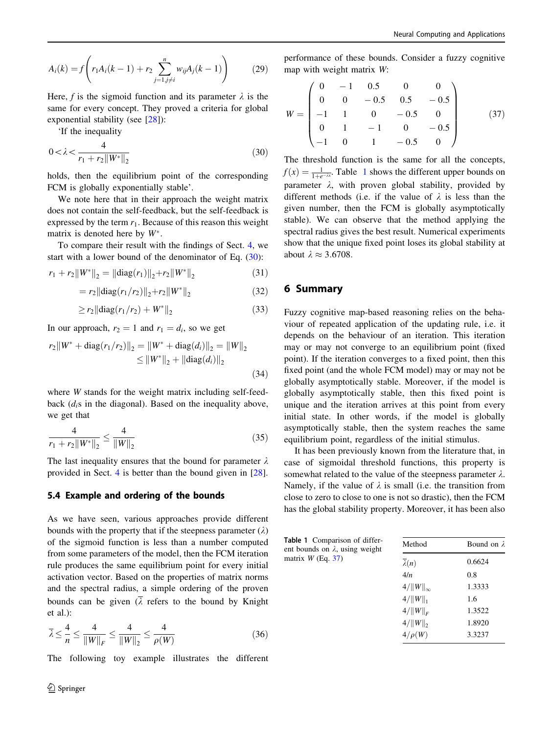<span id="page-7-0"></span>
$$
A_i(k) = f\left(r_1 A_i(k-1) + r_2 \sum_{j=1, j \neq i}^{n} w_{ij} A_j(k-1)\right)
$$
 (29)

Here, f is the sigmoid function and its parameter  $\lambda$  is the same for every concept. They proved a criteria for global exponential stability (see [[28\]](#page-12-0)):

'If the inequality

$$
0 < \lambda < \frac{4}{r_1 + r_2 \|W^*\|_2} \tag{30}
$$

holds, then the equilibrium point of the corresponding FCM is globally exponentially stable'.

We note here that in their approach the weight matrix does not contain the self-feedback, but the self-feedback is expressed by the term  $r_1$ . Because of this reason this weight matrix is denoted here by  $W^*$ .

To compare their result with the findings of Sect. [4,](#page-3-0) we start with a lower bound of the denominator of Eq. (30):

$$
r_1 + r_2 \|W^*\|_2 = \|\text{diag}(r_1)\|_2 + r_2 \|W^*\|_2 \tag{31}
$$

 $r_2$ ||diag $(r_1/r_2)$ ||<sub>2</sub>+ $r_2$ || $W^*$ ||<sub>2</sub>  $(32)$ 

$$
\geq r_2 \|\text{diag}(r_1/r_2) + W^*\|_2 \tag{33}
$$

In our approach,  $r_2 = 1$  and  $r_1 = d_i$ , so we get

$$
r_2||W^* + \text{diag}(r_1/r_2)||_2 = ||W^* + \text{diag}(d_i)||_2 = ||W||_2
$$
  
 
$$
\leq ||W^*||_2 + ||\text{diag}(d_i)||_2
$$
 (34)

where W stands for the weight matrix including self-feedback  $(d_i s)$  in the diagonal). Based on the inequality above, we get that

$$
\frac{4}{r_1 + r_2 \|W^*\|_2} \le \frac{4}{\|W\|_2} \tag{35}
$$

The last inequality ensures that the bound for parameter  $\lambda$ provided in Sect. [4](#page-3-0) is better than the bound given in [\[28](#page-12-0)].

## 5.4 Example and ordering of the bounds

As we have seen, various approaches provide different bounds with the property that if the steepness parameter  $(\lambda)$ of the sigmoid function is less than a number computed from some parameters of the model, then the FCM iteration rule produces the same equilibrium point for every initial activation vector. Based on the properties of matrix norms and the spectral radius, a simple ordering of the proven bounds can be given  $(\bar{\lambda})$  refers to the bound by Knight et al.):

$$
\overline{\lambda} \le \frac{4}{n} \le \frac{4}{\|W\|_F} \le \frac{4}{\|W\|_2} \le \frac{4}{\rho(W)}\tag{36}
$$

The following toy example illustrates the different

performance of these bounds. Consider a fuzzy cognitive map with weight matrix W:

$$
W = \begin{pmatrix} 0 & -1 & 0.5 & 0 & 0 \\ 0 & 0 & -0.5 & 0.5 & -0.5 \\ -1 & 1 & 0 & -0.5 & 0 \\ 0 & 1 & -1 & 0 & -0.5 \\ -1 & 0 & 1 & -0.5 & 0 \end{pmatrix}
$$
(37)

The threshold function is the same for all the concepts,  $f(x) = \frac{1}{1 + e^{-\lambda x}}$ . Table 1 shows the different upper bounds on parameter  $\lambda$ , with proven global stability, provided by different methods (i.e. if the value of  $\lambda$  is less than the given number, then the FCM is globally asymptotically stable). We can observe that the method applying the spectral radius gives the best result. Numerical experiments show that the unique fixed point loses its global stability at about  $\lambda \approx 3.6708$ .

## 6 Summary

Fuzzy cognitive map-based reasoning relies on the behaviour of repeated application of the updating rule, i.e. it depends on the behaviour of an iteration. This iteration may or may not converge to an equilibrium point (fixed point). If the iteration converges to a fixed point, then this fixed point (and the whole FCM model) may or may not be globally asymptotically stable. Moreover, if the model is globally asymptotically stable, then this fixed point is unique and the iteration arrives at this point from every initial state. In other words, if the model is globally asymptotically stable, then the system reaches the same equilibrium point, regardless of the initial stimulus.

It has been previously known from the literature that, in case of sigmoidal threshold functions, this property is somewhat related to the value of the steepness parameter  $\lambda$ . Namely, if the value of  $\lambda$  is small (i.e. the transition from close to zero to close to one is not so drastic), then the FCM has the global stability property. Moreover, it has been also

| <b>Table 1</b> Comparison of differ-<br>ent bounds on $\lambda$ , using weight<br>matrix $W$ (Eq. 37) | Method                  | Bound on $\lambda$ |
|-------------------------------------------------------------------------------------------------------|-------------------------|--------------------|
|                                                                                                       | $\overline{\lambda}(n)$ | 0.6624             |
|                                                                                                       | 4/n                     | 0.8                |
|                                                                                                       | $4/  W  _{\infty}$      | 1.3333             |
|                                                                                                       | $4/  W  _1$             | 1.6                |
|                                                                                                       | $4/  W  _F$             | 1.3522             |
|                                                                                                       | $4/  W  _2$             | 1.8920             |
|                                                                                                       | $4/\rho(W)$             | 3.3237             |
|                                                                                                       |                         |                    |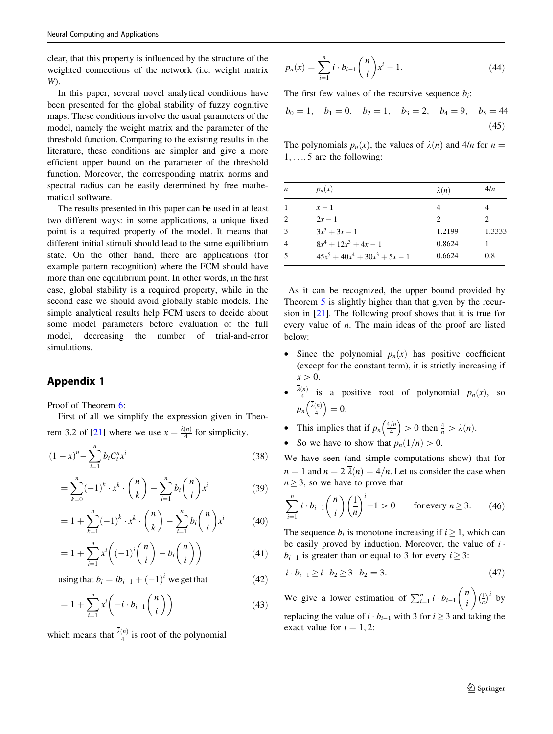<span id="page-8-0"></span>clear, that this property is influenced by the structure of the weighted connections of the network (i.e. weight matrix W).

In this paper, several novel analytical conditions have been presented for the global stability of fuzzy cognitive maps. These conditions involve the usual parameters of the model, namely the weight matrix and the parameter of the threshold function. Comparing to the existing results in the literature, these conditions are simpler and give a more efficient upper bound on the parameter of the threshold function. Moreover, the corresponding matrix norms and spectral radius can be easily determined by free mathematical software.

The results presented in this paper can be used in at least two different ways: in some applications, a unique fixed point is a required property of the model. It means that different initial stimuli should lead to the same equilibrium state. On the other hand, there are applications (for example pattern recognition) where the FCM should have more than one equilibrium point. In other words, in the first case, global stability is a required property, while in the second case we should avoid globally stable models. The simple analytical results help FCM users to decide about some model parameters before evaluation of the full model, decreasing the number of trial-and-error simulations.

# Appendix 1

Proof of Theorem [6:](#page-6-0)

First of all we simplify the expression given in Theo-rem 3.2 of [[21\]](#page-11-0) where we use  $x = \frac{\lambda(n)}{4}$  for simplicity.

$$
(1-x)^n - \sum_{i=1}^n b_i C_i^n x^i
$$
 (38)

$$
= \sum_{k=0}^{n} (-1)^{k} \cdot x^{k} \cdot \binom{n}{k} - \sum_{i=1}^{n} b_{i} \binom{n}{i} x^{i}
$$
(39)

$$
= 1 + \sum_{k=1}^{n} (-1)^{k} \cdot x^{k} \cdot \binom{n}{k} - \sum_{i=1}^{n} b_{i} \binom{n}{i} x^{i} \tag{40}
$$

$$
=1+\sum_{i=1}^{n} x^{i}\left((-1)^{i}\binom{n}{i}-b_{i}\binom{n}{i}\right) \tag{41}
$$

using that  $b_i = ib_{i-1} + (-1)^i$  we get that  $(42)$ 

$$
=1+\sum_{i=1}^{n} x^{i}\left(-i\cdot b_{i-1}\binom{n}{i}\right)
$$
\n(43)

which means that  $\frac{\lambda(n)}{4}$  is root of the polynomial

$$
p_n(x) = \sum_{i=1}^n i \cdot b_{i-1} \binom{n}{i} x^i - 1.
$$
 (44)

The first few values of the recursive sequence  $b_i$ :

$$
b_0 = 1
$$
,  $b_1 = 0$ ,  $b_2 = 1$ ,  $b_3 = 2$ ,  $b_4 = 9$ ,  $b_5 = 44$   
(45)

The polynomials  $p_n(x)$ , the values of  $\overline{\lambda}(n)$  and 4/n for  $n =$  $1, \ldots, 5$  are the following:

| n              | $p_n(x)$                         | $\lambda(n)$   | 4/n            |
|----------------|----------------------------------|----------------|----------------|
| $\mathbf{1}$   | $x-1$                            |                |                |
| 2              | $2x - 1$                         | $\mathfrak{D}$ | $\mathfrak{D}$ |
| 3              | $3x^3 + 3x - 1$                  | 1.2199         | 1.3333         |
| $\overline{4}$ | $8x^4 + 12x^3 + 4x - 1$          | 0.8624         |                |
| 5              | $45x^5 + 40x^4 + 30x^3 + 5x - 1$ | 0.6624         | 0.8            |
|                |                                  |                |                |

As it can be recognized, the upper bound provided by Theorem [5](#page-6-0) is slightly higher than that given by the recursion in [[21\]](#page-11-0). The following proof shows that it is true for every value of  $n$ . The main ideas of the proof are listed below:

- Since the polynomial  $p_n(x)$  has positive coefficient (except for the constant term), it is strictly increasing if  $x > 0$ .
- $\frac{\lambda(n)}{4}$  is a positive root of polynomial  $p_n(x)$ , so  $p_n\left(\frac{\overline{\lambda}(n)}{4}\right)=0.$
- This implies that if  $p_n\left(\frac{4/n}{4}\right) > 0$  then  $\frac{4}{n} > \lambda(n)$ .
- So we have to show that  $p_n(1/n) > 0$ .

We have seen (and simple computations show) that for  $n = 1$  and  $n = 2\overline{\lambda}(n) = 4/n$ . Let us consider the case when  $n \geq 3$ , so we have to prove that

$$
\sum_{i=1}^{n} i \cdot b_{i-1} \binom{n}{i} \left(\frac{1}{n}\right)^{i} - 1 > 0 \qquad \text{for every } n \ge 3. \tag{46}
$$

The sequence  $b_i$  is monotone increasing if  $i \geq 1$ , which can be easily proved by induction. Moreover, the value of  $i \cdot$  $b_{i-1}$  is greater than or equal to 3 for every  $i \geq 3$ :

$$
i \cdot b_{i-1} \geq i \cdot b_2 \geq 3 \cdot b_2 = 3. \tag{47}
$$

We give a lower estimation of  $\sum_{i=1}^{n} i \cdot b_{i-1} \binom{n}{i}$ i  $\binom{n}{i} \left(\frac{1}{n}\right)^i$  by replacing the value of  $i \cdot b_{i-1}$  with 3 for  $i \geq 3$  and taking the exact value for  $i = 1, 2$ :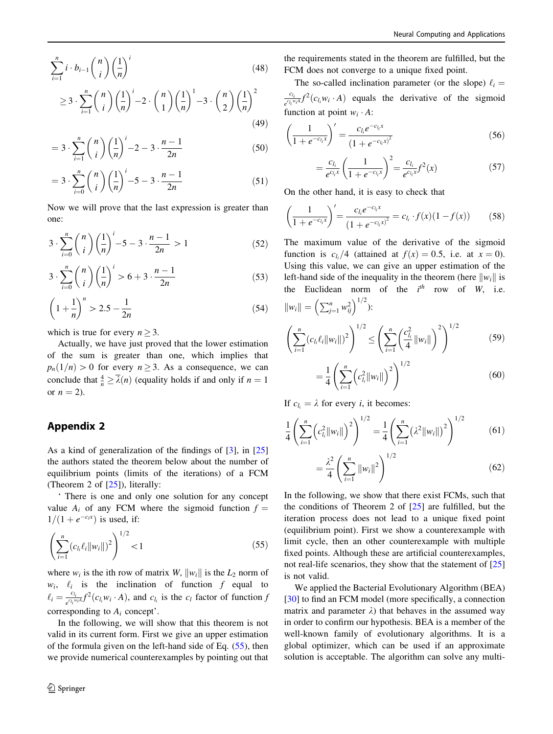<span id="page-9-0"></span>
$$
\sum_{i=1}^{n} i \cdot b_{i-1} \binom{n}{i} \left(\frac{1}{n}\right)^{i} \tag{48}
$$

$$
\geq 3 \cdot \sum_{i=1}^{n} {n \choose i} \left(\frac{1}{n}\right)^{i} - 2 \cdot {n \choose 1} \left(\frac{1}{n}\right)^{1} - 3 \cdot {n \choose 2} \left(\frac{1}{n}\right)^{2} \tag{49}
$$

$$
= 3 \cdot \sum_{i=1}^{n} {n \choose i} \left(\frac{1}{n}\right)^{i} - 2 - 3 \cdot \frac{n-1}{2n}
$$
 (50)

$$
= 3 \cdot \sum_{i=0}^{n} {n \choose i} \left(\frac{1}{n}\right)^{i} - 5 - 3 \cdot \frac{n-1}{2n}
$$
 (51)

Now we will prove that the last expression is greater than one:

$$
3 \cdot \sum_{i=0}^{n} {n \choose i} \left(\frac{1}{n}\right)^{i} - 5 - 3 \cdot \frac{n-1}{2n} > 1
$$
 (52)

$$
3 \cdot \sum_{i=0}^{n} {n \choose i} \left(\frac{1}{n}\right)^{i} > 6 + 3 \cdot \frac{n-1}{2n}
$$
 (53)

$$
\left(1 + \frac{1}{n}\right)^n > 2.5 - \frac{1}{2n} \tag{54}
$$

which is true for every  $n > 3$ .

Actually, we have just proved that the lower estimation of the sum is greater than one, which implies that  $p_n(1/n) > 0$  for every  $n \geq 3$ . As a consequence, we can conclude that  $\frac{4}{n} \geq \lambda(n)$  (equality holds if and only if  $n = 1$ ) or  $n = 2$ ).

# Appendix 2

As a kind of generalization of the findings of [[3\]](#page-11-0), in [[25\]](#page-12-0) the authors stated the theorem below about the number of equilibrium points (limits of the iterations) of a FCM (Theorem 2 of [\[25](#page-12-0)]), literally:

' There is one and only one solution for any concept value  $A_i$  of any FCM where the sigmoid function  $f =$  $1/(1 + e^{-c_l x})$  is used, if:

$$
\left(\sum_{i=1}^{n} (c_{l_i} \ell_i ||w_i||)^2\right)^{1/2} < 1
$$
\n(55)

where  $w_i$  is the ith row of matrix  $W$ ,  $||w_i||$  is the  $L_2$  norm of  $w_i$ ,  $\ell_i$  is the inclination of function f equal to  $\ell_i = \frac{c_{l_i}}{e^{c_{l_i}w_i A}} f^2(c_{l_i}w_i \cdot A)$ , and  $c_{l_i}$  is the  $c_l$  factor of function f corresponding to  $A_i$  concept'.

In the following, we will show that this theorem is not valid in its current form. First we give an upper estimation of the formula given on the left-hand side of Eq. (55), then we provide numerical counterexamples by pointing out that

the requirements stated in the theorem are fulfilled, but the FCM does not converge to a unique fixed point.

The so-called inclination parameter (or the slope)  $\ell_i =$  $\frac{c_{l_i}}{e^{c_{l_i}w_iA}}f^2(c_{l_i}w_i\cdot A)$  equals the derivative of the sigmoid function at point  $w_i \cdot A$ :

$$
\left(\frac{1}{1+e^{-c_{l_i}x}}\right)' = \frac{c_{l_i}e^{-c_{l_i}x}}{(1+e^{-c_{l_i}x})^2}
$$
(56)

$$
=\frac{c_{l_i}}{e^{c_{l_i}x}}\left(\frac{1}{1+e^{-c_{l_i}x}}\right)^2=\frac{c_{l_i}}{e^{c_{l_i}x}}f^2(x)\tag{57}
$$

On the other hand, it is easy to check that

$$
\left(\frac{1}{1+e^{-c_{l_i}x}}\right)' = \frac{c_{l_i}e^{-c_{l_i}x}}{(1+e^{-c_{l_i}x})^2} = c_{l_i} \cdot f(x)(1-f(x)) \tag{58}
$$

The maximum value of the derivative of the sigmoid function is  $c_{l_i}/4$  (attained at  $f(x) = 0.5$ , i.e. at  $x = 0$ ). Using this value, we can give an upper estimation of the left-hand side of the inequality in the theorem (here  $||w_i||$  is the Euclidean norm of the  $i^{th}$  row of W, i.e.  $||w_i|| = \left(\sum_{j=1}^n w_{ij}^2\right)^{1/2}$ ):

$$
\left(\sum_{i=1}^{n} (c_{l_i} \ell_i ||w_i||)^2\right)^{1/2} \le \left(\sum_{i=1}^{n} \left(\frac{c_{l_i}^2}{4} ||w_i||\right)^2\right)^{1/2} \tag{59}
$$
\n
$$
1 \left(\sum_{i=1}^{n} \left(\frac{c_{l_i}^2}{4} ||w_i||\right)^2\right)^{1/2} \tag{60}
$$

$$
= \frac{1}{4} \left( \sum_{i=1}^{n} \left( c_{l_i}^2 ||w_i|| \right)^2 \right) \tag{60}
$$

If  $c_{l_i} = \lambda$  for every *i*, it becomes:

$$
\frac{1}{4}\left(\sum_{i=1}^{n}\left(c_{l_{i}}^{2}\|w_{i}\|\right)^{2}\right)^{1/2}=\frac{1}{4}\left(\sum_{i=1}^{n}\left(\lambda^{2}\|w_{i}\|\right)^{2}\right)^{1/2}
$$
(61)

$$
= \frac{\lambda^2}{4} \left( \sum_{i=1}^n ||w_i||^2 \right)^{1/2} \tag{62}
$$

In the following, we show that there exist FCMs, such that the conditions of Theorem 2 of [\[25](#page-12-0)] are fulfilled, but the iteration process does not lead to a unique fixed point (equilibrium point). First we show a counterexample with limit cycle, then an other counterexample with multiple fixed points. Although these are artificial counterexamples, not real-life scenarios, they show that the statement of [[25\]](#page-12-0) is not valid.

We applied the Bacterial Evolutionary Algorithm (BEA) [\[30](#page-12-0)] to find an FCM model (more specifically, a connection matrix and parameter  $\lambda$ ) that behaves in the assumed way in order to confirm our hypothesis. BEA is a member of the well-known family of evolutionary algorithms. It is a global optimizer, which can be used if an approximate solution is acceptable. The algorithm can solve any multi-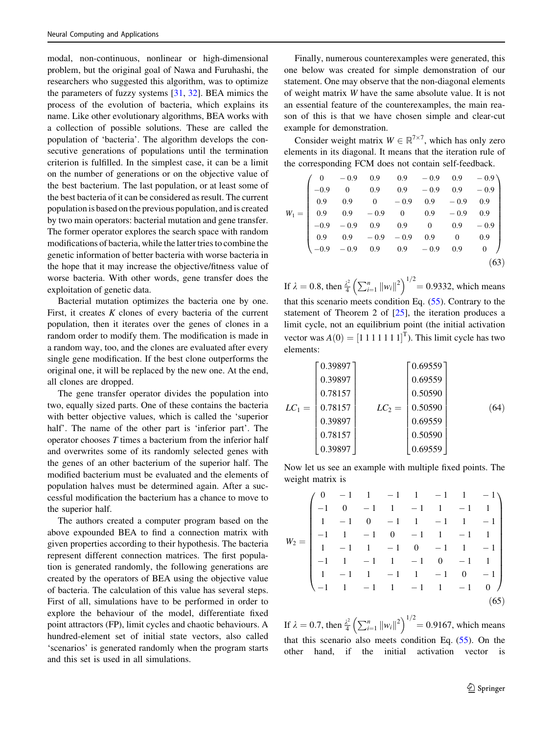modal, non-continuous, nonlinear or high-dimensional problem, but the original goal of Nawa and Furuhashi, the researchers who suggested this algorithm, was to optimize the parameters of fuzzy systems [\[31](#page-12-0), [32\]](#page-12-0). BEA mimics the process of the evolution of bacteria, which explains its name. Like other evolutionary algorithms, BEA works with a collection of possible solutions. These are called the population of 'bacteria'. The algorithm develops the consecutive generations of populations until the termination criterion is fulfilled. In the simplest case, it can be a limit on the number of generations or on the objective value of the best bacterium. The last population, or at least some of the best bacteria of it can be considered as result. The current population is based on the previous population, and is created by two main operators: bacterial mutation and gene transfer. The former operator explores the search space with random modifications of bacteria, while the latter tries to combine the genetic information of better bacteria with worse bacteria in the hope that it may increase the objective/fitness value of worse bacteria. With other words, gene transfer does the exploitation of genetic data.

Bacterial mutation optimizes the bacteria one by one. First, it creates  $K$  clones of every bacteria of the current population, then it iterates over the genes of clones in a random order to modify them. The modification is made in a random way, too, and the clones are evaluated after every single gene modification. If the best clone outperforms the original one, it will be replaced by the new one. At the end, all clones are dropped.

The gene transfer operator divides the population into two, equally sized parts. One of these contains the bacteria with better objective values, which is called the 'superior half'. The name of the other part is 'inferior part'. The operator chooses  $T$  times a bacterium from the inferior half and overwrites some of its randomly selected genes with the genes of an other bacterium of the superior half. The modified bacterium must be evaluated and the elements of population halves must be determined again. After a successful modification the bacterium has a chance to move to the superior half.

The authors created a computer program based on the above expounded BEA to find a connection matrix with given properties according to their hypothesis. The bacteria represent different connection matrices. The first population is generated randomly, the following generations are created by the operators of BEA using the objective value of bacteria. The calculation of this value has several steps. First of all, simulations have to be performed in order to explore the behaviour of the model, differentiate fixed point attractors (FP), limit cycles and chaotic behaviours. A hundred-element set of initial state vectors, also called 'scenarios' is generated randomly when the program starts and this set is used in all simulations.

Finally, numerous counterexamples were generated, this one below was created for simple demonstration of our statement. One may observe that the non-diagonal elements of weight matrix W have the same absolute value. It is not an essential feature of the counterexamples, the main reason of this is that we have chosen simple and clear-cut example for demonstration.

Consider weight matrix  $W \in \mathbb{R}^{7 \times 7}$ , which has only zero elements in its diagonal. It means that the iteration rule of the corresponding FCM does not contain self-feedback.

$$
W_1 = \begin{pmatrix} 0 & -0.9 & 0.9 & 0.9 & -0.9 & 0.9 & -0.9 \\ -0.9 & 0 & 0.9 & 0.9 & -0.9 & 0.9 & -0.9 \\ 0.9 & 0.9 & 0 & -0.9 & 0.9 & -0.9 & 0.9 \\ 0.9 & 0.9 & -0.9 & 0 & 0.9 & -0.9 & 0.9 \\ -0.9 & -0.9 & 0.9 & 0.9 & 0 & 0.9 & -0.9 \\ 0.9 & 0.9 & -0.9 & -0.9 & 0.9 & 0 & 0.9 \\ -0.9 & -0.9 & 0.9 & 0.9 & -0.9 & 0.9 & 0 \end{pmatrix}
$$
(63)

If  $\lambda = 0.8$ , then  $\frac{\lambda^2}{4}$  $\left( \sum_{i=1}^{n} ||w_i||^2 \right)^{1/2} = 0.9332$ , which means that this scenario meets condition Eq. [\(55](#page-9-0)). Contrary to the statement of Theorem 2 of [[25\]](#page-12-0), the iteration produces a limit cycle, not an equilibrium point (the initial activation vector was  $A(0) = [1 1 1 1 1 1]^{T}$ ). This limit cycle has two elements:

$$
LC_{1} = \begin{bmatrix} 0.39897 \\ 0.39897 \\ 0.78157 \\ 0.39897 \\ 0.39897 \\ 0.78157 \\ 0.39897 \\ 0.39897 \end{bmatrix} \qquad LC_{2} = \begin{bmatrix} 0.69559 \\ 0.69559 \\ 0.50590 \\ 0.50590 \\ 0.69559 \\ 0.69559 \\ 0.69559 \end{bmatrix} \qquad (64)
$$

Now let us see an example with multiple fixed points. The weight matrix is

$$
W_2 = \begin{pmatrix}\n0 & -1 & 1 & -1 & 1 & -1 & 1 & -1 \\
-1 & 0 & -1 & 1 & -1 & 1 & -1 & 1 \\
1 & -1 & 0 & -1 & 1 & -1 & 1 & -1 \\
-1 & 1 & -1 & 0 & -1 & 1 & -1 & 1 \\
1 & -1 & 1 & -1 & 0 & -1 & 1 & -1 \\
-1 & 1 & -1 & 1 & -1 & 0 & -1 & 1 \\
1 & -1 & 1 & -1 & 1 & -1 & 0 & -1 \\
-1 & 1 & -1 & 1 & -1 & 1 & -1 & 0\n\end{pmatrix}
$$
\n(65)

If  $\lambda = 0.7$ , then  $\frac{\lambda^2}{4}$  $\left( \sum_{i=1}^{n} ||w_i||^2 \right)^{1/2} = 0.9167$ , which means that this scenario also meets condition Eq. ([55\)](#page-9-0). On the other hand, if the initial activation vector is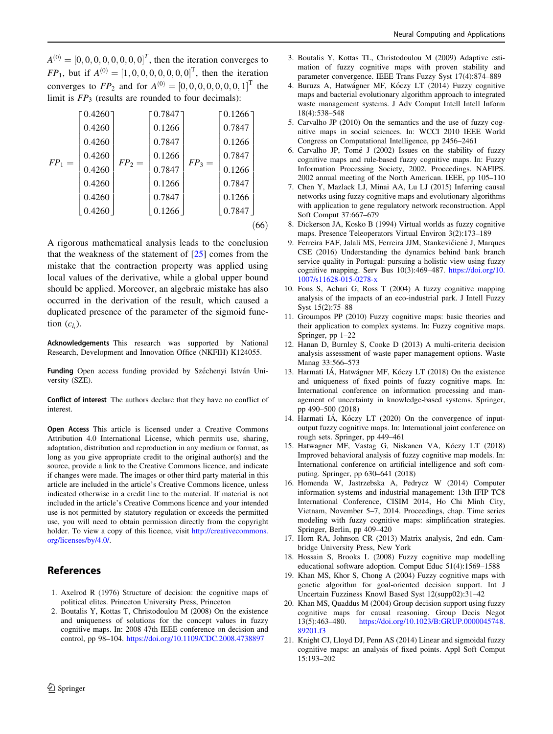<span id="page-11-0"></span> $A^{(0)} = [0, 0, 0, 0, 0, 0, 0, 0]^T$ , then the iteration converges to  $FP_1$ , but if  $A^{(0)} = [1, 0, 0, 0, 0, 0, 0, 0]^T$ , then the iteration converges to  $FP_2$  and for  $A^{(0)} = [0, 0, 0, 0, 0, 0, 0, 1]^T$  the limit is  $FP_3$  (results are rounded to four decimals):

$$
FP_1 = \begin{bmatrix} 0.4260 \\ 0.4260 \\ 0.4260 \\ 0.4260 \\ 0.4260 \\ 0.4260 \\ 0.4260 \\ 0.4260 \\ 0.4260 \end{bmatrix} FP_2 = \begin{bmatrix} 0.7847 \\ 0.1266 \\ 0.7847 \\ 0.7847 \\ 0.1266 \\ 0.1266 \\ 0.7847 \\ 0.7847 \\ 0.1266 \\ 0.1266 \\ 0.7847 \\ 0.1266 \\ 0.7847 \end{bmatrix}
$$

A rigorous mathematical analysis leads to the conclusion that the weakness of the statement of  $[25]$  $[25]$  comes from the mistake that the contraction property was applied using local values of the derivative, while a global upper bound should be applied. Moreover, an algebraic mistake has also occurred in the derivation of the result, which caused a duplicated presence of the parameter of the sigmoid function  $(c_{l_i})$ .

Acknowledgements This research was supported by National Research, Development and Innovation Office (NKFIH) K124055.

Funding Open access funding provided by Széchenyi István University (SZE).

Conflict of interest The authors declare that they have no conflict of interest.

Open Access This article is licensed under a Creative Commons Attribution 4.0 International License, which permits use, sharing, adaptation, distribution and reproduction in any medium or format, as long as you give appropriate credit to the original author(s) and the source, provide a link to the Creative Commons licence, and indicate if changes were made. The images or other third party material in this article are included in the article's Creative Commons licence, unless indicated otherwise in a credit line to the material. If material is not included in the article's Creative Commons licence and your intended use is not permitted by statutory regulation or exceeds the permitted use, you will need to obtain permission directly from the copyright holder. To view a copy of this licence, visit [http://creativecommons.](http://creativecommons.org/licenses/by/4.0/) [org/licenses/by/4.0/.](http://creativecommons.org/licenses/by/4.0/)

## References

- 1. Axelrod R (1976) Structure of decision: the cognitive maps of political elites. Princeton University Press, Princeton
- 2. Boutalis Y, Kottas T, Christodoulou M (2008) On the existence and uniqueness of solutions for the concept values in fuzzy cognitive maps. In: 2008 47th IEEE conference on decision and control, pp 98–104. <https://doi.org/10.1109/CDC.2008.4738897>
- 3. Boutalis Y, Kottas TL, Christodoulou M (2009) Adaptive estimation of fuzzy cognitive maps with proven stability and parameter convergence. IEEE Trans Fuzzy Syst 17(4):874–889
- 4. Buruzs A, Hatwágner MF, Kóczy LT (2014) Fuzzy cognitive maps and bacterial evolutionary algorithm approach to integrated waste management systems. J Adv Comput Intell Intell Inform 18(4):538–548
- 5. Carvalho JP (2010) On the semantics and the use of fuzzy cognitive maps in social sciences. In: WCCI 2010 IEEE World Congress on Computational Intelligence, pp 2456–2461
- 6. Carvalho JP, Tome´ J (2002) Issues on the stability of fuzzy cognitive maps and rule-based fuzzy cognitive maps. In: Fuzzy Information Processing Society, 2002. Proceedings. NAFIPS. 2002 annual meeting of the North American. IEEE, pp 105–110
- 7. Chen Y, Mazlack LJ, Minai AA, Lu LJ (2015) Inferring causal networks using fuzzy cognitive maps and evolutionary algorithms with application to gene regulatory network reconstruction. Appl Soft Comput 37:667–679
- 8. Dickerson JA, Kosko B (1994) Virtual worlds as fuzzy cognitive maps. Presence Teleoperators Virtual Environ 3(2):173–189
- 9. Ferreira FAF, Jalali MS, Ferreira JJM, Stankevičienė J, Marques CSE (2016) Understanding the dynamics behind bank branch service quality in Portugal: pursuing a holistic view using fuzzy cognitive mapping. Serv Bus 10(3):469–487. [https://doi.org/10.](https://doi.org/10.1007/s11628-015-0278-x) [1007/s11628-015-0278-x](https://doi.org/10.1007/s11628-015-0278-x)
- 10. Fons S, Achari G, Ross T (2004) A fuzzy cognitive mapping analysis of the impacts of an eco-industrial park. J Intell Fuzzy Syst 15(2):75–88
- 11. Groumpos PP (2010) Fuzzy cognitive maps: basic theories and their application to complex systems. In: Fuzzy cognitive maps. Springer, pp 1–22
- 12. Hanan D, Burnley S, Cooke D (2013) A multi-criteria decision analysis assessment of waste paper management options. Waste Manag 33:566–573
- 13. Harmati IÁ, Hatwágner MF, Kóczy LT (2018) On the existence and uniqueness of fixed points of fuzzy cognitive maps. In: International conference on information processing and management of uncertainty in knowledge-based systems. Springer, pp 490–500 (2018)
- 14. Harmati I $\acute{A}$ , Kóczy LT (2020) On the convergence of inputoutput fuzzy cognitive maps. In: International joint conference on rough sets. Springer, pp 449–461
- 15. Hatwagner MF, Vastag G, Niskanen VA, Kóczy LT (2018) Improved behavioral analysis of fuzzy cognitive map models. In: International conference on artificial intelligence and soft computing. Springer, pp 630–641 (2018)
- 16. Homenda W, Jastrzebska A, Pedrycz W (2014) Computer information systems and industrial management: 13th IFIP TC8 International Conference, CISIM 2014, Ho Chi Minh City, Vietnam, November 5–7, 2014. Proceedings, chap. Time series modeling with fuzzy cognitive maps: simplification strategies. Springer, Berlin, pp 409–420
- 17. Horn RA, Johnson CR (2013) Matrix analysis, 2nd edn. Cambridge University Press, New York
- 18. Hossain S, Brooks L (2008) Fuzzy cognitive map modelling educational software adoption. Comput Educ 51(4):1569–1588
- 19. Khan MS, Khor S, Chong A (2004) Fuzzy cognitive maps with genetic algorithm for goal-oriented decision support. Int J Uncertain Fuzziness Knowl Based Syst 12(supp02):31–42
- 20. Khan MS, Quaddus M (2004) Group decision support using fuzzy cognitive maps for causal reasoning. Group Decis Negot 13(5):463–480. [https://doi.org/10.1023/B:GRUP.0000045748.](https://doi.org/10.1023/B:GRUP.0000045748.89201.f3) [89201.f3](https://doi.org/10.1023/B:GRUP.0000045748.89201.f3)
- 21. Knight CJ, Lloyd DJ, Penn AS (2014) Linear and sigmoidal fuzzy cognitive maps: an analysis of fixed points. Appl Soft Comput 15:193–202